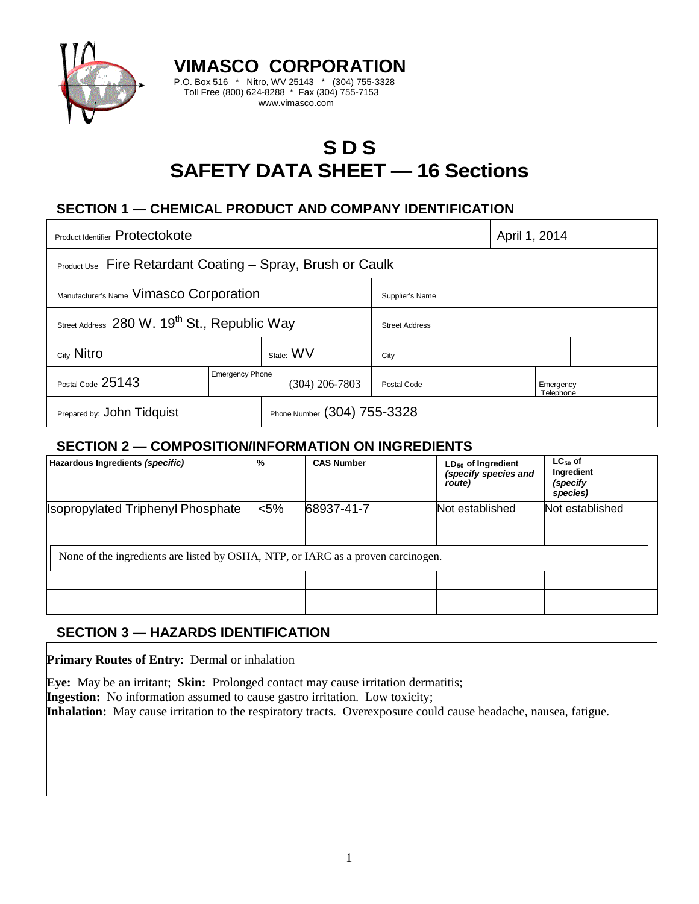

# **S D S SAFETY DATA SHEET — 16 Sections**

# **SECTION 1 — CHEMICAL PRODUCT AND COMPANY IDENTIFICATION**

**VIMASCO CORPORATION** P.O. Box 516 \* Nitro, WV 25143 \* (304) 755-3328 Toll Free (800) 624-8288 \* Fax (304) 755-7153 www.vimasco.com

| Product Identifier Protectokote                                   |                                          |                             |                       | April 1, 2014          |  |
|-------------------------------------------------------------------|------------------------------------------|-----------------------------|-----------------------|------------------------|--|
| <b>Product Use</b> Fire Retardant Coating – Spray, Brush or Caulk |                                          |                             |                       |                        |  |
| Manufacturer's Name Vimasco Corporation                           |                                          |                             | Supplier's Name       |                        |  |
| Street Address 280 W. 19 <sup>th</sup> St., Republic Way          |                                          |                             | <b>Street Address</b> |                        |  |
| City Nitro                                                        |                                          | State: WV                   | City                  |                        |  |
| Postal Code 25143                                                 | <b>Emergency Phone</b><br>(304) 206-7803 |                             | Postal Code           | Emergency<br>Telephone |  |
| Prepared by: John Tidquist                                        |                                          | Phone Number (304) 755-3328 |                       |                        |  |

### **SECTION 2 — COMPOSITION/INFORMATION ON INGREDIENTS**

| Hazardous Ingredients (specific)                                                 | %       | <b>CAS Number</b> | $LD_{50}$ of Ingredient<br>(specify species and<br>route) | $LC_{50}$ of<br>Ingredient<br>(specify<br>species) |  |  |
|----------------------------------------------------------------------------------|---------|-------------------|-----------------------------------------------------------|----------------------------------------------------|--|--|
| <b>Isopropylated Triphenyl Phosphate</b>                                         | $< 5\%$ | 68937-41-7        | Not established                                           | Not established                                    |  |  |
|                                                                                  |         |                   |                                                           |                                                    |  |  |
| None of the ingredients are listed by OSHA, NTP, or IARC as a proven carcinogen. |         |                   |                                                           |                                                    |  |  |
|                                                                                  |         |                   |                                                           |                                                    |  |  |
|                                                                                  |         |                   |                                                           |                                                    |  |  |

# **SECTION 3 — HAZARDS IDENTIFICATION**

**Primary Routes of Entry**: Dermal or inhalation

**Eye:** May be an irritant; **Skin:** Prolonged contact may cause irritation dermatitis;

**Ingestion:** No information assumed to cause gastro irritation. Low toxicity;

**Inhalation:** May cause irritation to the respiratory tracts. Overexposure could cause headache, nausea, fatigue.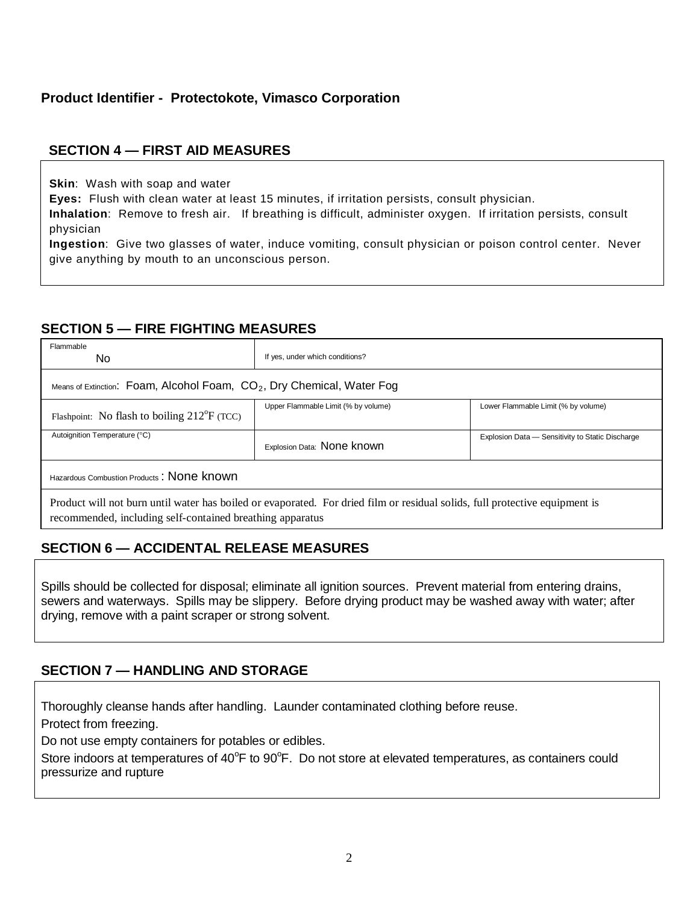# **Product Identifier - Protectokote, Vimasco Corporation**

### **SECTION 4 — FIRST AID MEASURES**

**Skin**: Wash with soap and water

**Eyes:** Flush with clean water at least 15 minutes, if irritation persists, consult physician.

**Inhalation**: Remove to fresh air. If breathing is difficult, administer oxygen. If irritation persists, consult physician

**Ingestion**: Give two glasses of water, induce vomiting, consult physician or poison control center. Never give anything by mouth to an unconscious person.

### **SECTION 5 — FIRE FIGHTING MEASURES**

| Flammable<br>No.                                                                                                                                                                         | If yes, under which conditions?     |                                                  |  |  |  |
|------------------------------------------------------------------------------------------------------------------------------------------------------------------------------------------|-------------------------------------|--------------------------------------------------|--|--|--|
| Means of Extinction: Foam, Alcohol Foam, CO <sub>2</sub> , Dry Chemical, Water Fog                                                                                                       |                                     |                                                  |  |  |  |
| Flashpoint: No flash to boiling $212^{\circ}F$ (TCC)                                                                                                                                     | Upper Flammable Limit (% by volume) | Lower Flammable Limit (% by volume)              |  |  |  |
| Autoignition Temperature (°C)                                                                                                                                                            | Explosion Data: None known          | Explosion Data - Sensitivity to Static Discharge |  |  |  |
| Hazardous Combustion Products: None known                                                                                                                                                |                                     |                                                  |  |  |  |
| Product will not burn until water has boiled or evaporated. For dried film or residual solids, full protective equipment is<br>recommended, including self-contained breathing apparatus |                                     |                                                  |  |  |  |

# **SECTION 6 — ACCIDENTAL RELEASE MEASURES**

Spills should be collected for disposal; eliminate all ignition sources. Prevent material from entering drains, sewers and waterways. Spills may be slippery. Before drying product may be washed away with water; after drying, remove with a paint scraper or strong solvent.

# **SECTION 7 — HANDLING AND STORAGE**

Thoroughly cleanse hands after handling. Launder contaminated clothing before reuse.

Protect from freezing.

Do not use empty containers for potables or edibles.

Store indoors at temperatures of 40°F to 90°F. Do not store at elevated temperatures, as containers could pressurize and rupture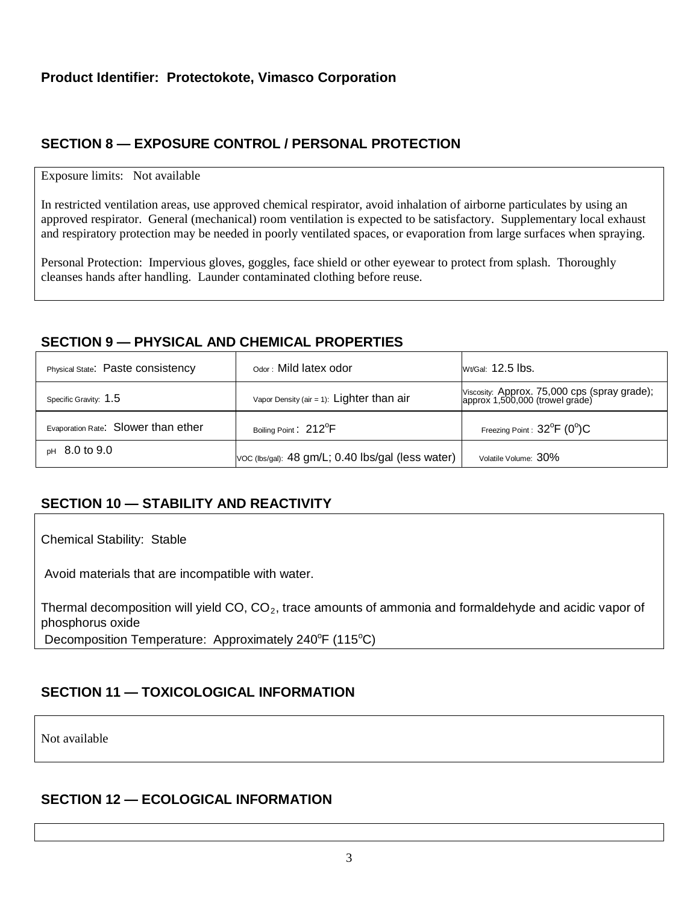# **SECTION 8 — EXPOSURE CONTROL / PERSONAL PROTECTION**

#### Exposure limits: Not available

In restricted ventilation areas, use approved chemical respirator, avoid inhalation of airborne particulates by using an approved respirator. General (mechanical) room ventilation is expected to be satisfactory. Supplementary local exhaust and respiratory protection may be needed in poorly ventilated spaces, or evaporation from large surfaces when spraying.

Personal Protection: Impervious gloves, goggles, face shield or other eyewear to protect from splash. Thoroughly cleanses hands after handling. Launder contaminated clothing before reuse.

### **SECTION 9 — PHYSICAL AND CHEMICAL PROPERTIES**

| Physical State: Paste consistency   | Odor: Mild latex odor                             | Wt/Gal: 12.5 lbs.                                                               |
|-------------------------------------|---------------------------------------------------|---------------------------------------------------------------------------------|
| Specific Gravity: 1.5               | Vapor Density (air = 1): Lighter than $air$       | Viscosity: Approx. 75,000 cps (spray grade);<br>approx 1,500,000 (trowel grade) |
| Evaporation Rate: Slower than ether | Boiling Point: 212 <sup>°</sup> F                 | Freezing Point : $32^{\circ}$ F (0 $^{\circ}$ )C                                |
| $pH$ 8.0 to 9.0                     | VOC (lbs/gal): 48 gm/L; 0.40 lbs/gal (less water) | Volatile Volume: 30%                                                            |

# **SECTION 10 — STABILITY AND REACTIVITY**

Chemical Stability: Stable

Avoid materials that are incompatible with water.

Thermal decomposition will yield CO,  $CO<sub>2</sub>$ , trace amounts of ammonia and formaldehyde and acidic vapor of phosphorus oxide Decomposition Temperature: Approximately 240°F (115°C)

# **SECTION 11 — TOXICOLOGICAL INFORMATION**

Not available

### **SECTION 12 — ECOLOGICAL INFORMATION**